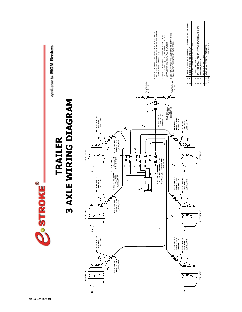